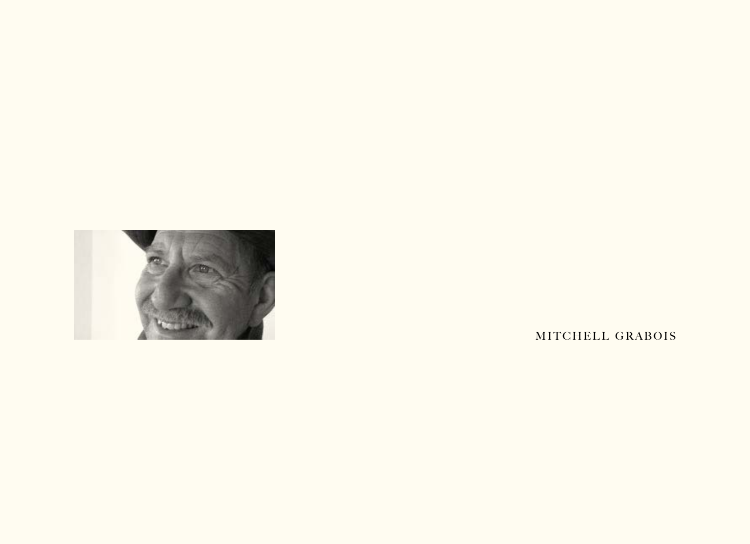

MITCHELL GRABOIS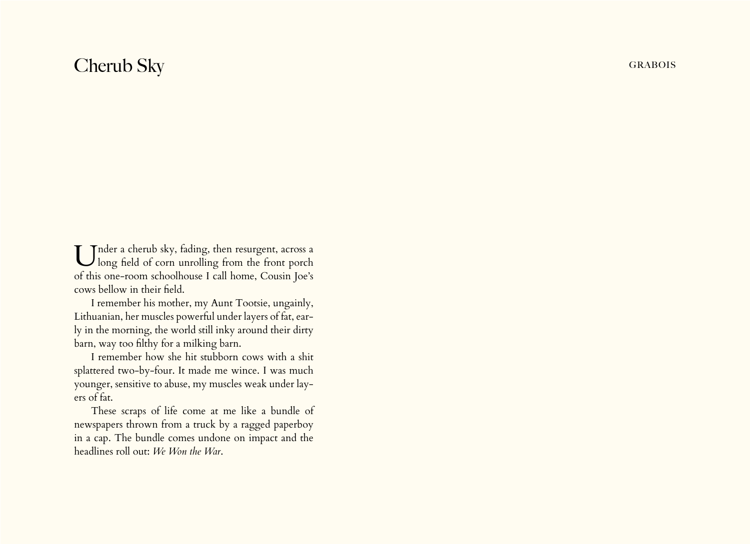## Cherub Sky GRABOIS

T Inder a cherub sky, fading, then resurgent, across a I long field of corn unrolling from the front porch of this one-room schoolhouse I call home, Cousin Joe's cows bellow in their field.

I remember his mother, my Aunt Tootsie, ungainly, Lithuanian, her muscles powerful under layers of fat, early in the morning, the world still inky around their dirty barn, way too filthy for a milking barn.

I remember how she hit stubborn cows with a shit splattered two-by-four. It made me wince. I was much younger, sensitive to abuse, my muscles weak under layers of fat.

These scraps of life come at me like a bundle of newspapers thrown from a truck by a ragged paperboy in a cap. The bundle comes undone on impact and the headlines roll out: *We Won the War*.